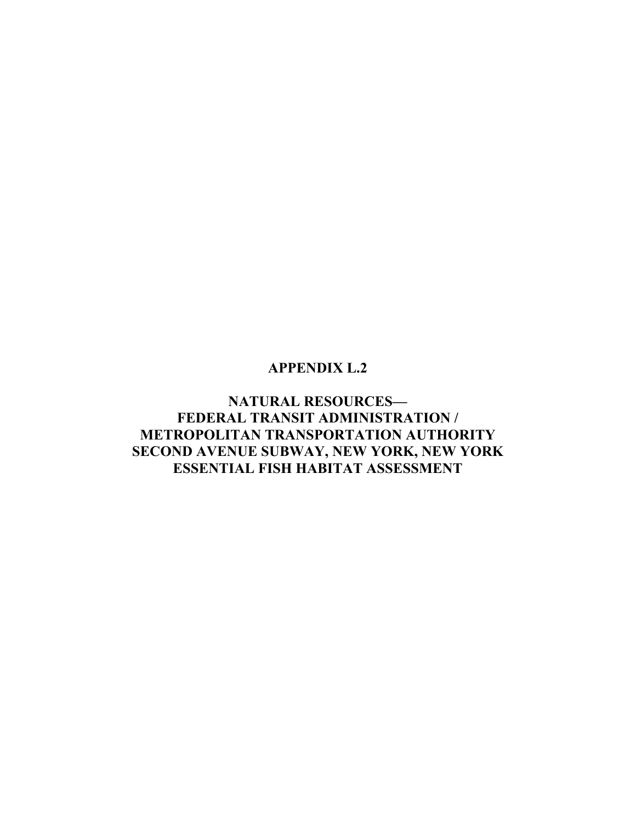## **APPENDIX L.2**

**NATURAL RESOURCES— FEDERAL TRANSIT ADMINISTRATION / METROPOLITAN TRANSPORTATION AUTHORITY SECOND AVENUE SUBWAY, NEW YORK, NEW YORK ESSENTIAL FISH HABITAT ASSESSMENT**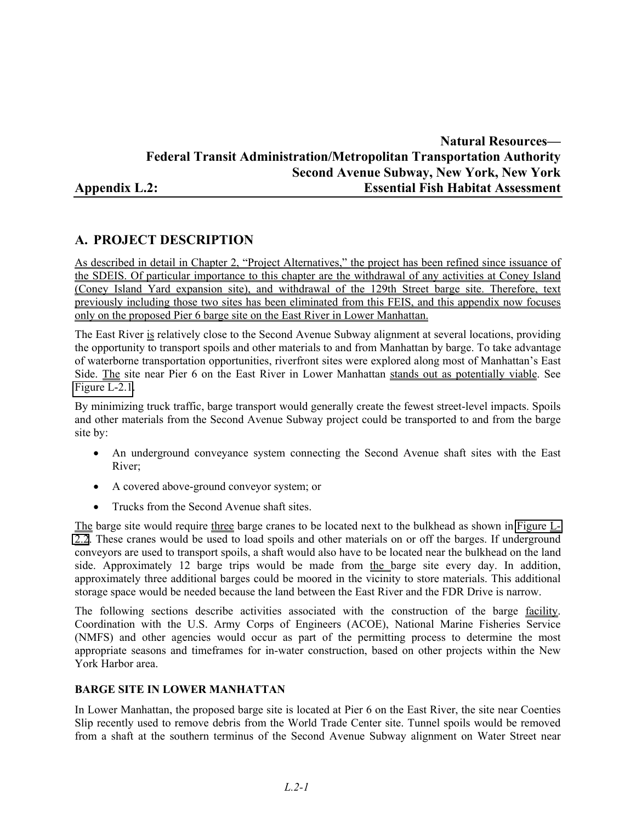## **Natural Resources— Federal Transit Administration/Metropolitan Transportation Authority Second Avenue Subway, New York, New York Appendix L.2: Essential Fish Habitat Assessment**

## **A. PROJECT DESCRIPTION**

As described in detail in Chapter 2, "Project Alternatives," the project has been refined since issuance of the SDEIS. Of particular importance to this chapter are the withdrawal of any activities at Coney Island (Coney Island Yard expansion site), and withdrawal of the 129th Street barge site. Therefore, text previously including those two sites has been eliminated from this FEIS, and this appendix now focuses only on the proposed Pier 6 barge site on the East River in Lower Manhattan.

The East River is relatively close to the Second Avenue Subway alignment at several locations, providing the opportunity to transport spoils and other materials to and from Manhattan by barge. To take advantage of waterborne transportation opportunities, riverfront sites were explored along most of Manhattan's East Side. The site near Pier 6 on the East River in Lower Manhattan stands out as potentially viable. See Figure L-2.1.

By minimizing truck traffic, barge transport would generally create the fewest street-level impacts. Spoils and other materials from the Second Avenue Subway project could be transported to and from the barge site by:

- An underground conveyance system connecting the Second Avenue shaft sites with the East River;
- A covered above-ground conveyor system; or
- Trucks from the Second Avenue shaft sites.

The barge site would require three barge cranes to be located next to the bulkhead as shown in Figure  $L_1$ 2.2. These cranes would be used to load spoils and other materials on or off the barges. If underground conveyors are used to transport spoils, a shaft would also have to be located near the bulkhead on the land side. Approximately 12 barge trips would be made from the barge site every day. In addition, approximately three additional barges could be moored in the vicinity to store materials. This additional storage space would be needed because the land between the East River and the FDR Drive is narrow.

The following sections describe activities associated with the construction of the barge facility. Coordination with the U.S. Army Corps of Engineers (ACOE), National Marine Fisheries Service (NMFS) and other agencies would occur as part of the permitting process to determine the most appropriate seasons and timeframes for in-water construction, based on other projects within the New York Harbor area.

#### **BARGE SITE IN LOWER MANHATTAN**

In Lower Manhattan, the proposed barge site is located at Pier 6 on the East River, the site near Coenties Slip recently used to remove debris from the World Trade Center site. Tunnel spoils would be removed from a shaft at the southern terminus of the Second Avenue Subway alignment on Water Street near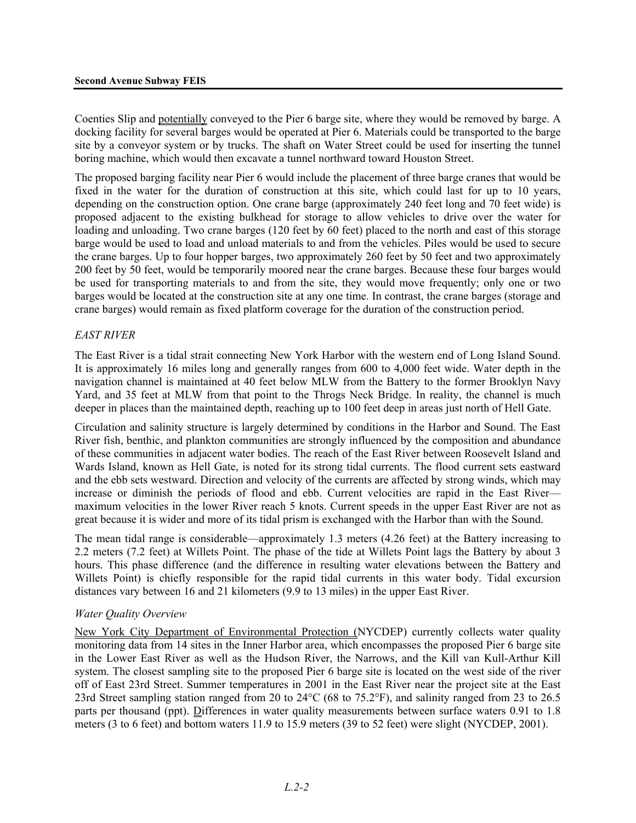Coenties Slip and potentially conveyed to the Pier 6 barge site, where they would be removed by barge. A docking facility for several barges would be operated at Pier 6. Materials could be transported to the barge site by a conveyor system or by trucks. The shaft on Water Street could be used for inserting the tunnel boring machine, which would then excavate a tunnel northward toward Houston Street.

The proposed barging facility near Pier 6 would include the placement of three barge cranes that would be fixed in the water for the duration of construction at this site, which could last for up to 10 years, depending on the construction option. One crane barge (approximately 240 feet long and 70 feet wide) is proposed adjacent to the existing bulkhead for storage to allow vehicles to drive over the water for loading and unloading. Two crane barges (120 feet by 60 feet) placed to the north and east of this storage barge would be used to load and unload materials to and from the vehicles. Piles would be used to secure the crane barges. Up to four hopper barges, two approximately 260 feet by 50 feet and two approximately 200 feet by 50 feet, would be temporarily moored near the crane barges. Because these four barges would be used for transporting materials to and from the site, they would move frequently; only one or two barges would be located at the construction site at any one time. In contrast, the crane barges (storage and crane barges) would remain as fixed platform coverage for the duration of the construction period.

#### *EAST RIVER*

The East River is a tidal strait connecting New York Harbor with the western end of Long Island Sound. It is approximately 16 miles long and generally ranges from 600 to 4,000 feet wide. Water depth in the navigation channel is maintained at 40 feet below MLW from the Battery to the former Brooklyn Navy Yard, and 35 feet at MLW from that point to the Throgs Neck Bridge. In reality, the channel is much deeper in places than the maintained depth, reaching up to 100 feet deep in areas just north of Hell Gate.

Circulation and salinity structure is largely determined by conditions in the Harbor and Sound. The East River fish, benthic, and plankton communities are strongly influenced by the composition and abundance of these communities in adjacent water bodies. The reach of the East River between Roosevelt Island and Wards Island, known as Hell Gate, is noted for its strong tidal currents. The flood current sets eastward and the ebb sets westward. Direction and velocity of the currents are affected by strong winds, which may increase or diminish the periods of flood and ebb. Current velocities are rapid in the East River maximum velocities in the lower River reach 5 knots. Current speeds in the upper East River are not as great because it is wider and more of its tidal prism is exchanged with the Harbor than with the Sound.

The mean tidal range is considerable—approximately 1.3 meters (4.26 feet) at the Battery increasing to 2.2 meters (7.2 feet) at Willets Point. The phase of the tide at Willets Point lags the Battery by about 3 hours. This phase difference (and the difference in resulting water elevations between the Battery and Willets Point) is chiefly responsible for the rapid tidal currents in this water body. Tidal excursion distances vary between 16 and 21 kilometers (9.9 to 13 miles) in the upper East River.

#### *Water Quality Overview*

New York City Department of Environmental Protection (NYCDEP) currently collects water quality monitoring data from 14 sites in the Inner Harbor area, which encompasses the proposed Pier 6 barge site in the Lower East River as well as the Hudson River, the Narrows, and the Kill van Kull-Arthur Kill system. The closest sampling site to the proposed Pier 6 barge site is located on the west side of the river off of East 23rd Street. Summer temperatures in 2001 in the East River near the project site at the East 23rd Street sampling station ranged from 20 to 24°C (68 to 75.2°F), and salinity ranged from 23 to 26.5 parts per thousand (ppt). Differences in water quality measurements between surface waters 0.91 to 1.8 meters (3 to 6 feet) and bottom waters 11.9 to 15.9 meters (39 to 52 feet) were slight (NYCDEP, 2001).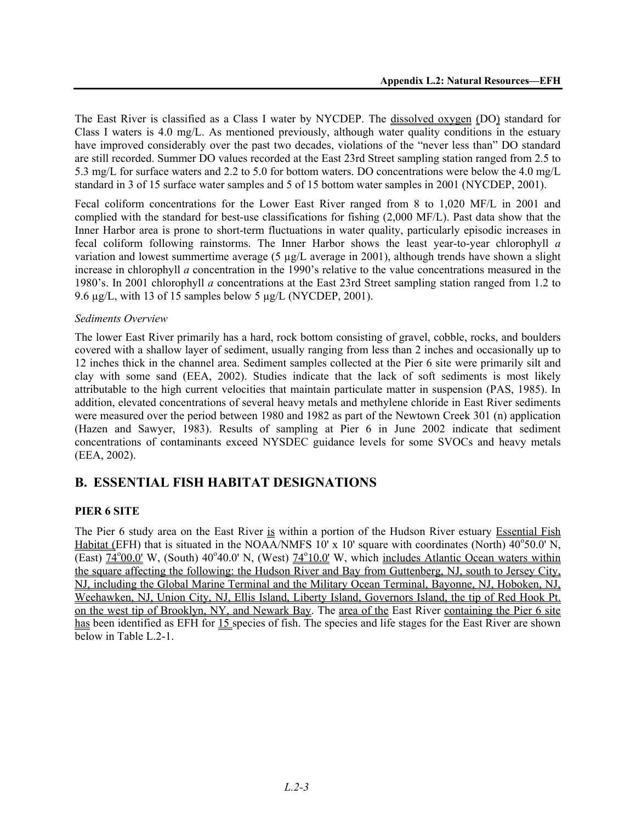The East River is classified as a Class I water by NYCDEP. The dissolved oxygen (DO) standard for Class I waters is 4.0 mg/L. As mentioned previously, although water quality conditions in the estuary have improved considerably over the past two decades, violations of the "never less than" DO standard are still recorded. Summer DO values recorded at the East 23rd Street sampling station ranged from 2.5 to 5.3 mg/L for surface waters and 2.2 to 5.0 for bottom waters. DO concentrations were below the 4.0 mg/L standard in 3 of 15 surface water samples and 5 of 15 bottom water samples in 2001 (NYCDEP, 2001).

Fecal coliform concentrations for the Lower East River ranged from 8 to 1,020 MF/L in 2001 and complied with the standard for best-use classifications for fishing (2,000 MF/L). Past data show that the Inner Harbor area is prone to short-term fluctuations in water quality, particularly episodic increases in fecal coliform following rainstorms. The Inner Harbor shows the least year-to-year chlorophyll *a* variation and lowest summertime average (5 µg/L average in 2001), although trends have shown a slight increase in chlorophyll *a* concentration in the 1990's relative to the value concentrations measured in the 1980's. In 2001 chlorophyll *a* concentrations at the East 23rd Street sampling station ranged from 1.2 to 9.6 µg/L, with 13 of 15 samples below 5 µg/L (NYCDEP, 2001).

#### *Sediments Overview*

The lower East River primarily has a hard, rock bottom consisting of gravel, cobble, rocks, and boulders covered with a shallow layer of sediment, usually ranging from less than 2 inches and occasionally up to 12 inches thick in the channel area. Sediment samples collected at the Pier 6 site were primarily silt and clay with some sand (EEA, 2002). Studies indicate that the lack of soft sediments is most likely attributable to the high current velocities that maintain particulate matter in suspension (PAS, 1985). In addition, elevated concentrations of several heavy metals and methylene chloride in East River sediments were measured over the period between 1980 and 1982 as part of the Newtown Creek 301 (n) application (Hazen and Sawyer, 1983). Results of sampling at Pier 6 in June 2002 indicate that sediment concentrations of contaminants exceed NYSDEC guidance levels for some SVOCs and heavy metals (EEA, 2002).

## **B. ESSENTIAL FISH HABITAT DESIGNATIONS**

#### **PIER 6 SITE**

The Pier 6 study area on the East River is within a portion of the Hudson River estuary Essential Fish Habitat (EFH) that is situated in the NOAA/NMFS 10' x 10' square with coordinates (North)  $40^{\circ}50.0'$  N,  $\overline{(East) 74^{\circ}00.0}$ ' W, (South) 40°40.0' N, (West)  $74^{\circ}10.0$ ' W, which includes Atlantic Ocean waters within the square affecting the following: the Hudson River and Bay from Guttenberg, NJ, south to Jersey City, NJ, including the Global Marine Terminal and the Military Ocean Terminal, Bayonne, NJ, Hoboken, NJ, Weehawken, NJ, Union City, NJ, Ellis Island, Liberty Island, Governors Island, the tip of Red Hook Pt. on the west tip of Brooklyn, NY, and Newark Bay. The area of the East River containing the Pier 6 site has been identified as EFH for 15 species of fish. The species and life stages for the East River are shown below in Table L.2-1.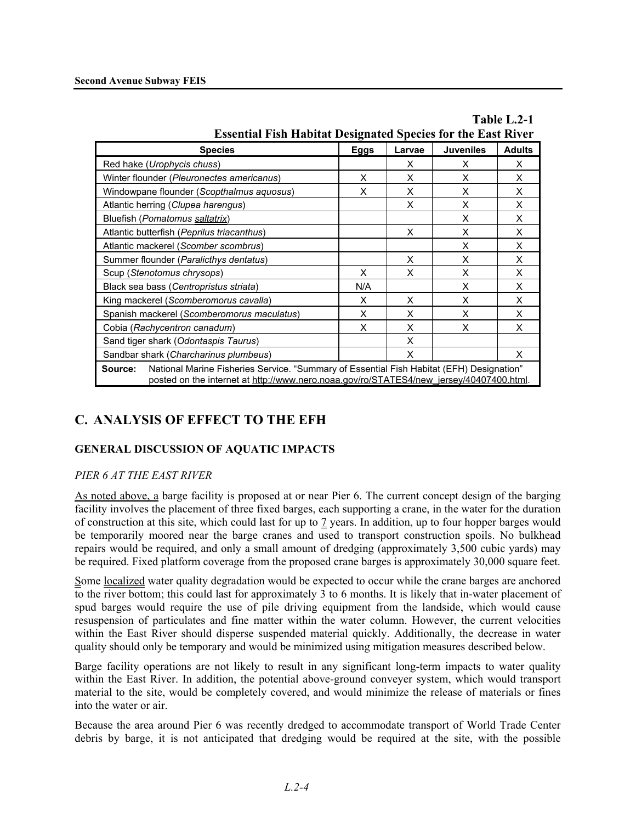| <b>Essential Fish Habitat Designated Species for the East River</b>                                                                                                                            |             |        |                  |               |
|------------------------------------------------------------------------------------------------------------------------------------------------------------------------------------------------|-------------|--------|------------------|---------------|
| <b>Species</b>                                                                                                                                                                                 | <b>Eggs</b> | Larvae | <b>Juveniles</b> | <b>Adults</b> |
| Red hake (Urophycis chuss)                                                                                                                                                                     |             | X      | X                | X             |
| Winter flounder (Pleuronectes americanus)                                                                                                                                                      | X           | X      | X                | X             |
| Windowpane flounder (Scopthalmus aquosus)                                                                                                                                                      | X           | X      | X                | X             |
| Atlantic herring (Clupea harengus)                                                                                                                                                             |             | X      | X                | X             |
| Bluefish (Pomatomus saltatrix)                                                                                                                                                                 |             |        | X                | X             |
| Atlantic butterfish (Peprilus triacanthus)                                                                                                                                                     |             | X      | X                | X             |
| Atlantic mackerel (Scomber scombrus)                                                                                                                                                           |             |        | X                | X             |
| Summer flounder (Paralicthys dentatus)                                                                                                                                                         |             | X      | X                | X             |
| Scup (Stenotomus chrysops)                                                                                                                                                                     | X           | X      | X                | X             |
| Black sea bass (Centropristus striata)                                                                                                                                                         | N/A         |        | X                | X             |
| King mackerel (Scomberomorus cavalla)                                                                                                                                                          | X           | X      | X                | X             |
| Spanish mackerel (Scomberomorus maculatus)                                                                                                                                                     | X           | X      | X                | X             |
| Cobia (Rachycentron canadum)                                                                                                                                                                   | X           | X      | X                | X             |
| Sand tiger shark (Odontaspis Taurus)                                                                                                                                                           |             | X      |                  |               |
| Sandbar shark (Charcharinus plumbeus)                                                                                                                                                          |             | X      |                  | X             |
| National Marine Fisheries Service. "Summary of Essential Fish Habitat (EFH) Designation"<br>Source:<br>posted on the internet at http://www.nero.noaa.gov/ro/STATES4/new_jersey/40407400.html. |             |        |                  |               |

# **Table L.2-1**

# **C. ANALYSIS OF EFFECT TO THE EFH**

### **GENERAL DISCUSSION OF AQUATIC IMPACTS**

#### *PIER 6 AT THE EAST RIVER*

As noted above, a barge facility is proposed at or near Pier 6. The current concept design of the barging facility involves the placement of three fixed barges, each supporting a crane, in the water for the duration of construction at this site, which could last for up to 7 years. In addition, up to four hopper barges would be temporarily moored near the barge cranes and used to transport construction spoils. No bulkhead repairs would be required, and only a small amount of dredging (approximately 3,500 cubic yards) may be required. Fixed platform coverage from the proposed crane barges is approximately 30,000 square feet.

Some localized water quality degradation would be expected to occur while the crane barges are anchored to the river bottom; this could last for approximately 3 to 6 months. It is likely that in-water placement of spud barges would require the use of pile driving equipment from the landside, which would cause resuspension of particulates and fine matter within the water column. However, the current velocities within the East River should disperse suspended material quickly. Additionally, the decrease in water quality should only be temporary and would be minimized using mitigation measures described below.

Barge facility operations are not likely to result in any significant long-term impacts to water quality within the East River. In addition, the potential above-ground conveyer system, which would transport material to the site, would be completely covered, and would minimize the release of materials or fines into the water or air.

Because the area around Pier 6 was recently dredged to accommodate transport of World Trade Center debris by barge, it is not anticipated that dredging would be required at the site, with the possible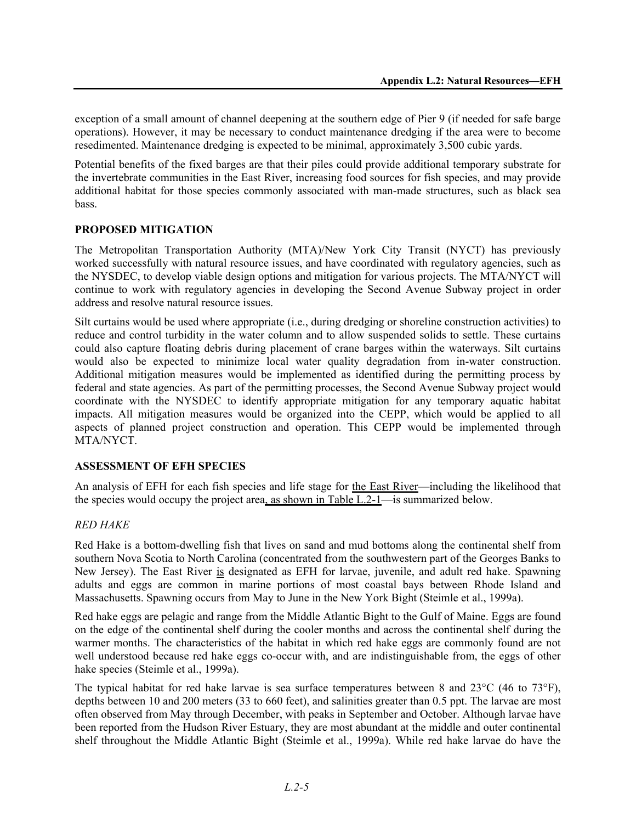exception of a small amount of channel deepening at the southern edge of Pier 9 (if needed for safe barge operations). However, it may be necessary to conduct maintenance dredging if the area were to become resedimented. Maintenance dredging is expected to be minimal, approximately 3,500 cubic yards.

Potential benefits of the fixed barges are that their piles could provide additional temporary substrate for the invertebrate communities in the East River, increasing food sources for fish species, and may provide additional habitat for those species commonly associated with man-made structures, such as black sea bass.

#### **PROPOSED MITIGATION**

The Metropolitan Transportation Authority (MTA)/New York City Transit (NYCT) has previously worked successfully with natural resource issues, and have coordinated with regulatory agencies, such as the NYSDEC, to develop viable design options and mitigation for various projects. The MTA/NYCT will continue to work with regulatory agencies in developing the Second Avenue Subway project in order address and resolve natural resource issues.

Silt curtains would be used where appropriate (i.e., during dredging or shoreline construction activities) to reduce and control turbidity in the water column and to allow suspended solids to settle. These curtains could also capture floating debris during placement of crane barges within the waterways. Silt curtains would also be expected to minimize local water quality degradation from in-water construction. Additional mitigation measures would be implemented as identified during the permitting process by federal and state agencies. As part of the permitting processes, the Second Avenue Subway project would coordinate with the NYSDEC to identify appropriate mitigation for any temporary aquatic habitat impacts. All mitigation measures would be organized into the CEPP, which would be applied to all aspects of planned project construction and operation. This CEPP would be implemented through MTA/NYCT.

#### **ASSESSMENT OF EFH SPECIES**

An analysis of EFH for each fish species and life stage for the East River—including the likelihood that the species would occupy the project area, as shown in Table L.2-1—is summarized below.

#### *RED HAKE*

Red Hake is a bottom-dwelling fish that lives on sand and mud bottoms along the continental shelf from southern Nova Scotia to North Carolina (concentrated from the southwestern part of the Georges Banks to New Jersey). The East River is designated as EFH for larvae, juvenile, and adult red hake. Spawning adults and eggs are common in marine portions of most coastal bays between Rhode Island and Massachusetts. Spawning occurs from May to June in the New York Bight (Steimle et al., 1999a).

Red hake eggs are pelagic and range from the Middle Atlantic Bight to the Gulf of Maine. Eggs are found on the edge of the continental shelf during the cooler months and across the continental shelf during the warmer months. The characteristics of the habitat in which red hake eggs are commonly found are not well understood because red hake eggs co-occur with, and are indistinguishable from, the eggs of other hake species (Steimle et al., 1999a).

The typical habitat for red hake larvae is sea surface temperatures between 8 and 23°C (46 to 73°F), depths between 10 and 200 meters (33 to 660 feet), and salinities greater than 0.5 ppt. The larvae are most often observed from May through December, with peaks in September and October. Although larvae have been reported from the Hudson River Estuary, they are most abundant at the middle and outer continental shelf throughout the Middle Atlantic Bight (Steimle et al., 1999a). While red hake larvae do have the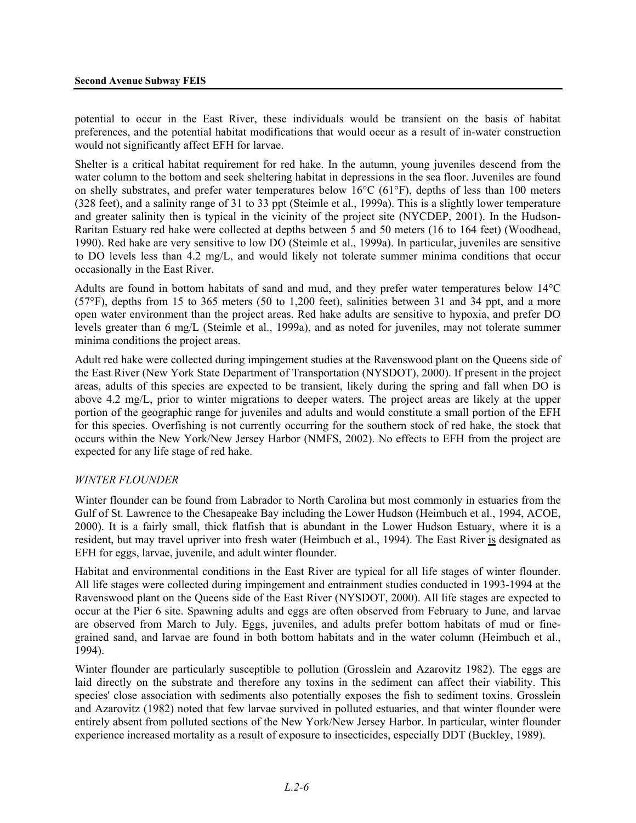potential to occur in the East River, these individuals would be transient on the basis of habitat preferences, and the potential habitat modifications that would occur as a result of in-water construction would not significantly affect EFH for larvae.

Shelter is a critical habitat requirement for red hake. In the autumn, young juveniles descend from the water column to the bottom and seek sheltering habitat in depressions in the sea floor. Juveniles are found on shelly substrates, and prefer water temperatures below  $16^{\circ}C(61^{\circ}F)$ , depths of less than 100 meters (328 feet), and a salinity range of 31 to 33 ppt (Steimle et al., 1999a). This is a slightly lower temperature and greater salinity then is typical in the vicinity of the project site (NYCDEP, 2001). In the Hudson-Raritan Estuary red hake were collected at depths between 5 and 50 meters (16 to 164 feet) (Woodhead, 1990). Red hake are very sensitive to low DO (Steimle et al., 1999a). In particular, juveniles are sensitive to DO levels less than 4.2 mg/L, and would likely not tolerate summer minima conditions that occur occasionally in the East River.

Adults are found in bottom habitats of sand and mud, and they prefer water temperatures below 14°C (57°F), depths from 15 to 365 meters (50 to 1,200 feet), salinities between 31 and 34 ppt, and a more open water environment than the project areas. Red hake adults are sensitive to hypoxia, and prefer DO levels greater than 6 mg/L (Steimle et al., 1999a), and as noted for juveniles, may not tolerate summer minima conditions the project areas.

Adult red hake were collected during impingement studies at the Ravenswood plant on the Queens side of the East River (New York State Department of Transportation (NYSDOT), 2000). If present in the project areas, adults of this species are expected to be transient, likely during the spring and fall when DO is above 4.2 mg/L, prior to winter migrations to deeper waters. The project areas are likely at the upper portion of the geographic range for juveniles and adults and would constitute a small portion of the EFH for this species. Overfishing is not currently occurring for the southern stock of red hake, the stock that occurs within the New York/New Jersey Harbor (NMFS, 2002). No effects to EFH from the project are expected for any life stage of red hake.

#### *WINTER FLOUNDER*

Winter flounder can be found from Labrador to North Carolina but most commonly in estuaries from the Gulf of St. Lawrence to the Chesapeake Bay including the Lower Hudson (Heimbuch et al., 1994, ACOE, 2000). It is a fairly small, thick flatfish that is abundant in the Lower Hudson Estuary, where it is a resident, but may travel upriver into fresh water (Heimbuch et al., 1994). The East River is designated as EFH for eggs, larvae, juvenile, and adult winter flounder.

Habitat and environmental conditions in the East River are typical for all life stages of winter flounder. All life stages were collected during impingement and entrainment studies conducted in 1993-1994 at the Ravenswood plant on the Queens side of the East River (NYSDOT, 2000). All life stages are expected to occur at the Pier 6 site. Spawning adults and eggs are often observed from February to June, and larvae are observed from March to July. Eggs, juveniles, and adults prefer bottom habitats of mud or finegrained sand, and larvae are found in both bottom habitats and in the water column (Heimbuch et al., 1994).

Winter flounder are particularly susceptible to pollution (Grosslein and Azarovitz 1982). The eggs are laid directly on the substrate and therefore any toxins in the sediment can affect their viability. This species' close association with sediments also potentially exposes the fish to sediment toxins. Grosslein and Azarovitz (1982) noted that few larvae survived in polluted estuaries, and that winter flounder were entirely absent from polluted sections of the New York/New Jersey Harbor. In particular, winter flounder experience increased mortality as a result of exposure to insecticides, especially DDT (Buckley, 1989).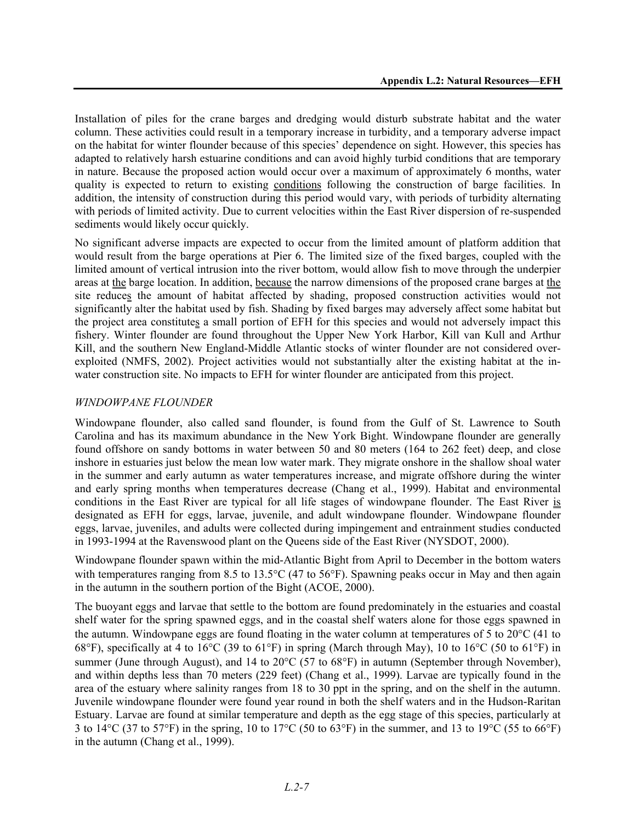Installation of piles for the crane barges and dredging would disturb substrate habitat and the water column. These activities could result in a temporary increase in turbidity, and a temporary adverse impact on the habitat for winter flounder because of this species' dependence on sight. However, this species has adapted to relatively harsh estuarine conditions and can avoid highly turbid conditions that are temporary in nature. Because the proposed action would occur over a maximum of approximately 6 months, water quality is expected to return to existing conditions following the construction of barge facilities. In addition, the intensity of construction during this period would vary, with periods of turbidity alternating with periods of limited activity. Due to current velocities within the East River dispersion of re-suspended sediments would likely occur quickly.

No significant adverse impacts are expected to occur from the limited amount of platform addition that would result from the barge operations at Pier 6. The limited size of the fixed barges, coupled with the limited amount of vertical intrusion into the river bottom, would allow fish to move through the underpier areas at the barge location. In addition, because the narrow dimensions of the proposed crane barges at the site reduces the amount of habitat affected by shading, proposed construction activities would not significantly alter the habitat used by fish. Shading by fixed barges may adversely affect some habitat but the project area constitutes a small portion of EFH for this species and would not adversely impact this fishery. Winter flounder are found throughout the Upper New York Harbor, Kill van Kull and Arthur Kill, and the southern New England-Middle Atlantic stocks of winter flounder are not considered overexploited (NMFS, 2002). Project activities would not substantially alter the existing habitat at the inwater construction site. No impacts to EFH for winter flounder are anticipated from this project.

#### *WINDOWPANE FLOUNDER*

Windowpane flounder, also called sand flounder, is found from the Gulf of St. Lawrence to South Carolina and has its maximum abundance in the New York Bight. Windowpane flounder are generally found offshore on sandy bottoms in water between 50 and 80 meters (164 to 262 feet) deep, and close inshore in estuaries just below the mean low water mark. They migrate onshore in the shallow shoal water in the summer and early autumn as water temperatures increase, and migrate offshore during the winter and early spring months when temperatures decrease (Chang et al., 1999). Habitat and environmental conditions in the East River are typical for all life stages of windowpane flounder. The East River is designated as EFH for eggs, larvae, juvenile, and adult windowpane flounder. Windowpane flounder eggs, larvae, juveniles, and adults were collected during impingement and entrainment studies conducted in 1993-1994 at the Ravenswood plant on the Queens side of the East River (NYSDOT, 2000).

Windowpane flounder spawn within the mid-Atlantic Bight from April to December in the bottom waters with temperatures ranging from 8.5 to 13.5°C (47 to 56°F). Spawning peaks occur in May and then again in the autumn in the southern portion of the Bight (ACOE, 2000).

The buoyant eggs and larvae that settle to the bottom are found predominately in the estuaries and coastal shelf water for the spring spawned eggs, and in the coastal shelf waters alone for those eggs spawned in the autumn. Windowpane eggs are found floating in the water column at temperatures of 5 to 20°C (41 to 68°F), specifically at 4 to 16°C (39 to 61°F) in spring (March through May), 10 to 16°C (50 to 61°F) in summer (June through August), and 14 to 20°C (57 to 68°F) in autumn (September through November), and within depths less than 70 meters (229 feet) (Chang et al., 1999). Larvae are typically found in the area of the estuary where salinity ranges from 18 to 30 ppt in the spring, and on the shelf in the autumn. Juvenile windowpane flounder were found year round in both the shelf waters and in the Hudson-Raritan Estuary. Larvae are found at similar temperature and depth as the egg stage of this species, particularly at 3 to 14 $^{\circ}$ C (37 to 57 $^{\circ}$ F) in the spring, 10 to 17 $^{\circ}$ C (50 to 63 $^{\circ}$ F) in the summer, and 13 to 19 $^{\circ}$ C (55 to 66 $^{\circ}$ F) in the autumn (Chang et al., 1999).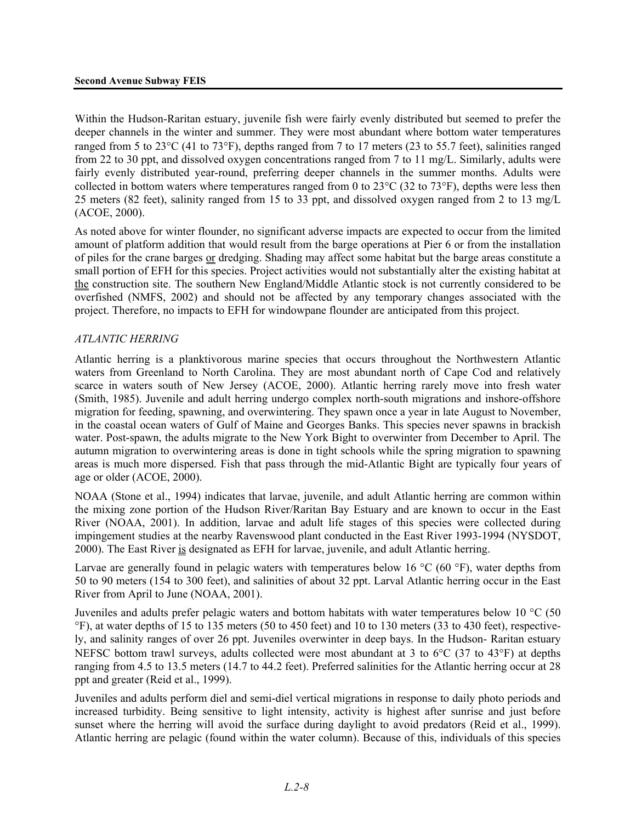Within the Hudson-Raritan estuary, juvenile fish were fairly evenly distributed but seemed to prefer the deeper channels in the winter and summer. They were most abundant where bottom water temperatures ranged from 5 to 23°C (41 to 73°F), depths ranged from 7 to 17 meters (23 to 55.7 feet), salinities ranged from 22 to 30 ppt, and dissolved oxygen concentrations ranged from 7 to 11 mg/L. Similarly, adults were fairly evenly distributed year-round, preferring deeper channels in the summer months. Adults were collected in bottom waters where temperatures ranged from 0 to 23°C (32 to 73°F), depths were less then 25 meters (82 feet), salinity ranged from 15 to 33 ppt, and dissolved oxygen ranged from 2 to 13 mg/L (ACOE, 2000).

As noted above for winter flounder, no significant adverse impacts are expected to occur from the limited amount of platform addition that would result from the barge operations at Pier 6 or from the installation of piles for the crane barges or dredging. Shading may affect some habitat but the barge areas constitute a small portion of EFH for this species. Project activities would not substantially alter the existing habitat at the construction site. The southern New England/Middle Atlantic stock is not currently considered to be overfished (NMFS, 2002) and should not be affected by any temporary changes associated with the project. Therefore, no impacts to EFH for windowpane flounder are anticipated from this project.

#### *ATLANTIC HERRING*

Atlantic herring is a planktivorous marine species that occurs throughout the Northwestern Atlantic waters from Greenland to North Carolina. They are most abundant north of Cape Cod and relatively scarce in waters south of New Jersey (ACOE, 2000). Atlantic herring rarely move into fresh water (Smith, 1985). Juvenile and adult herring undergo complex north-south migrations and inshore-offshore migration for feeding, spawning, and overwintering. They spawn once a year in late August to November, in the coastal ocean waters of Gulf of Maine and Georges Banks. This species never spawns in brackish water. Post-spawn, the adults migrate to the New York Bight to overwinter from December to April. The autumn migration to overwintering areas is done in tight schools while the spring migration to spawning areas is much more dispersed. Fish that pass through the mid-Atlantic Bight are typically four years of age or older (ACOE, 2000).

NOAA (Stone et al., 1994) indicates that larvae, juvenile, and adult Atlantic herring are common within the mixing zone portion of the Hudson River/Raritan Bay Estuary and are known to occur in the East River (NOAA, 2001). In addition, larvae and adult life stages of this species were collected during impingement studies at the nearby Ravenswood plant conducted in the East River 1993-1994 (NYSDOT, 2000). The East River is designated as EFH for larvae, juvenile, and adult Atlantic herring.

Larvae are generally found in pelagic waters with temperatures below 16 °C (60 °F), water depths from 50 to 90 meters (154 to 300 feet), and salinities of about 32 ppt. Larval Atlantic herring occur in the East River from April to June (NOAA, 2001).

Juveniles and adults prefer pelagic waters and bottom habitats with water temperatures below 10 °C (50 °F), at water depths of 15 to 135 meters (50 to 450 feet) and 10 to 130 meters (33 to 430 feet), respectively, and salinity ranges of over 26 ppt. Juveniles overwinter in deep bays. In the Hudson- Raritan estuary NEFSC bottom trawl surveys, adults collected were most abundant at 3 to 6°C (37 to 43°F) at depths ranging from 4.5 to 13.5 meters (14.7 to 44.2 feet). Preferred salinities for the Atlantic herring occur at 28 ppt and greater (Reid et al., 1999).

Juveniles and adults perform diel and semi-diel vertical migrations in response to daily photo periods and increased turbidity. Being sensitive to light intensity, activity is highest after sunrise and just before sunset where the herring will avoid the surface during daylight to avoid predators (Reid et al., 1999). Atlantic herring are pelagic (found within the water column). Because of this, individuals of this species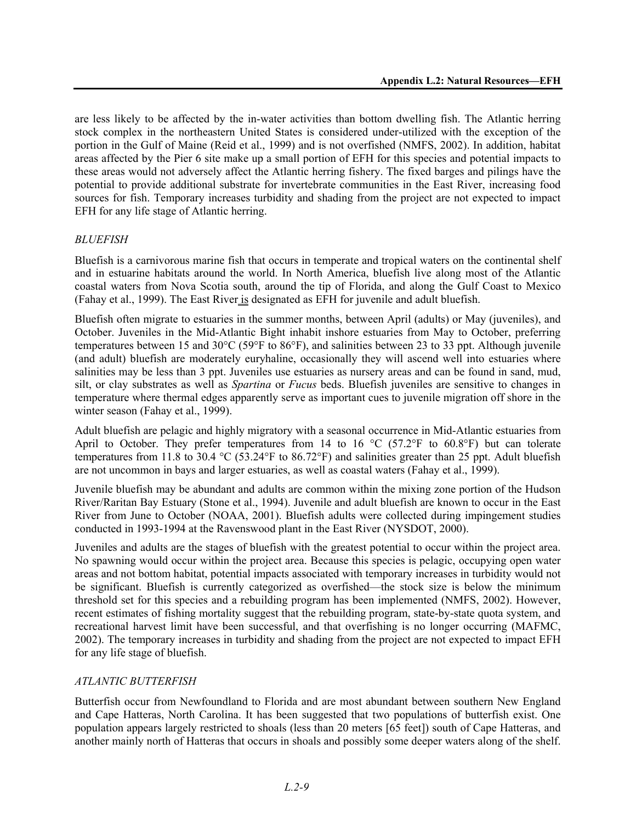are less likely to be affected by the in-water activities than bottom dwelling fish. The Atlantic herring stock complex in the northeastern United States is considered under-utilized with the exception of the portion in the Gulf of Maine (Reid et al., 1999) and is not overfished (NMFS, 2002). In addition, habitat areas affected by the Pier 6 site make up a small portion of EFH for this species and potential impacts to these areas would not adversely affect the Atlantic herring fishery. The fixed barges and pilings have the potential to provide additional substrate for invertebrate communities in the East River, increasing food sources for fish. Temporary increases turbidity and shading from the project are not expected to impact EFH for any life stage of Atlantic herring.

#### *BLUEFISH*

Bluefish is a carnivorous marine fish that occurs in temperate and tropical waters on the continental shelf and in estuarine habitats around the world. In North America, bluefish live along most of the Atlantic coastal waters from Nova Scotia south, around the tip of Florida, and along the Gulf Coast to Mexico (Fahay et al., 1999). The East River is designated as EFH for juvenile and adult bluefish.

Bluefish often migrate to estuaries in the summer months, between April (adults) or May (juveniles), and October. Juveniles in the Mid-Atlantic Bight inhabit inshore estuaries from May to October, preferring temperatures between 15 and 30°C (59°F to 86°F), and salinities between 23 to 33 ppt. Although juvenile (and adult) bluefish are moderately euryhaline, occasionally they will ascend well into estuaries where salinities may be less than 3 ppt. Juveniles use estuaries as nursery areas and can be found in sand, mud, silt, or clay substrates as well as *Spartina* or *Fucus* beds. Bluefish juveniles are sensitive to changes in temperature where thermal edges apparently serve as important cues to juvenile migration off shore in the winter season (Fahay et al., 1999).

Adult bluefish are pelagic and highly migratory with a seasonal occurrence in Mid-Atlantic estuaries from April to October. They prefer temperatures from 14 to 16  $^{\circ}$ C (57.2 $^{\circ}$ F to 60.8 $^{\circ}$ F) but can tolerate temperatures from 11.8 to 30.4 °C (53.24°F to 86.72°F) and salinities greater than 25 ppt. Adult bluefish are not uncommon in bays and larger estuaries, as well as coastal waters (Fahay et al., 1999).

Juvenile bluefish may be abundant and adults are common within the mixing zone portion of the Hudson River/Raritan Bay Estuary (Stone et al., 1994). Juvenile and adult bluefish are known to occur in the East River from June to October (NOAA, 2001). Bluefish adults were collected during impingement studies conducted in 1993-1994 at the Ravenswood plant in the East River (NYSDOT, 2000).

Juveniles and adults are the stages of bluefish with the greatest potential to occur within the project area. No spawning would occur within the project area. Because this species is pelagic, occupying open water areas and not bottom habitat, potential impacts associated with temporary increases in turbidity would not be significant. Bluefish is currently categorized as overfished—the stock size is below the minimum threshold set for this species and a rebuilding program has been implemented (NMFS, 2002). However, recent estimates of fishing mortality suggest that the rebuilding program, state-by-state quota system, and recreational harvest limit have been successful, and that overfishing is no longer occurring (MAFMC, 2002). The temporary increases in turbidity and shading from the project are not expected to impact EFH for any life stage of bluefish.

#### *ATLANTIC BUTTERFISH*

Butterfish occur from Newfoundland to Florida and are most abundant between southern New England and Cape Hatteras, North Carolina. It has been suggested that two populations of butterfish exist. One population appears largely restricted to shoals (less than 20 meters [65 feet]) south of Cape Hatteras, and another mainly north of Hatteras that occurs in shoals and possibly some deeper waters along of the shelf.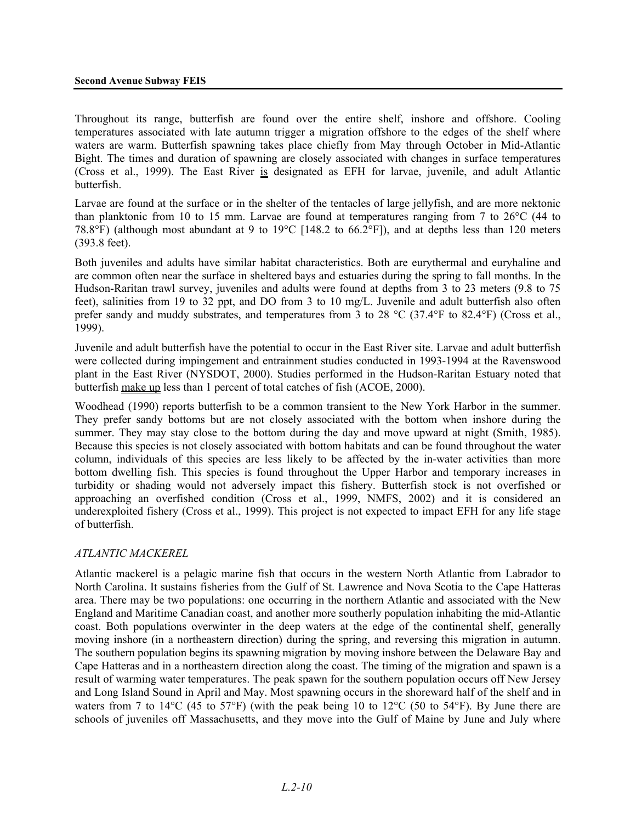Throughout its range, butterfish are found over the entire shelf, inshore and offshore. Cooling temperatures associated with late autumn trigger a migration offshore to the edges of the shelf where waters are warm. Butterfish spawning takes place chiefly from May through October in Mid-Atlantic Bight. The times and duration of spawning are closely associated with changes in surface temperatures (Cross et al., 1999). The East River is designated as EFH for larvae, juvenile, and adult Atlantic butterfish.

Larvae are found at the surface or in the shelter of the tentacles of large jellyfish, and are more nektonic than planktonic from 10 to 15 mm. Larvae are found at temperatures ranging from 7 to 26°C (44 to 78.8°F) (although most abundant at 9 to 19°C [148.2 to 66.2°F]), and at depths less than 120 meters (393.8 feet).

Both juveniles and adults have similar habitat characteristics. Both are eurythermal and euryhaline and are common often near the surface in sheltered bays and estuaries during the spring to fall months. In the Hudson-Raritan trawl survey, juveniles and adults were found at depths from 3 to 23 meters (9.8 to 75 feet), salinities from 19 to 32 ppt, and DO from 3 to 10 mg/L. Juvenile and adult butterfish also often prefer sandy and muddy substrates, and temperatures from 3 to 28 °C (37.4°F to 82.4°F) (Cross et al., 1999).

Juvenile and adult butterfish have the potential to occur in the East River site. Larvae and adult butterfish were collected during impingement and entrainment studies conducted in 1993-1994 at the Ravenswood plant in the East River (NYSDOT, 2000). Studies performed in the Hudson-Raritan Estuary noted that butterfish make up less than 1 percent of total catches of fish (ACOE, 2000).

Woodhead (1990) reports butterfish to be a common transient to the New York Harbor in the summer. They prefer sandy bottoms but are not closely associated with the bottom when inshore during the summer. They may stay close to the bottom during the day and move upward at night (Smith, 1985). Because this species is not closely associated with bottom habitats and can be found throughout the water column, individuals of this species are less likely to be affected by the in-water activities than more bottom dwelling fish. This species is found throughout the Upper Harbor and temporary increases in turbidity or shading would not adversely impact this fishery. Butterfish stock is not overfished or approaching an overfished condition (Cross et al., 1999, NMFS, 2002) and it is considered an underexploited fishery (Cross et al., 1999). This project is not expected to impact EFH for any life stage of butterfish.

#### *ATLANTIC MACKEREL*

Atlantic mackerel is a pelagic marine fish that occurs in the western North Atlantic from Labrador to North Carolina. It sustains fisheries from the Gulf of St. Lawrence and Nova Scotia to the Cape Hatteras area. There may be two populations: one occurring in the northern Atlantic and associated with the New England and Maritime Canadian coast, and another more southerly population inhabiting the mid-Atlantic coast. Both populations overwinter in the deep waters at the edge of the continental shelf, generally moving inshore (in a northeastern direction) during the spring, and reversing this migration in autumn. The southern population begins its spawning migration by moving inshore between the Delaware Bay and Cape Hatteras and in a northeastern direction along the coast. The timing of the migration and spawn is a result of warming water temperatures. The peak spawn for the southern population occurs off New Jersey and Long Island Sound in April and May. Most spawning occurs in the shoreward half of the shelf and in waters from 7 to 14 $^{\circ}$ C (45 to 57 $^{\circ}$ F) (with the peak being 10 to 12 $^{\circ}$ C (50 to 54 $^{\circ}$ F). By June there are schools of juveniles off Massachusetts, and they move into the Gulf of Maine by June and July where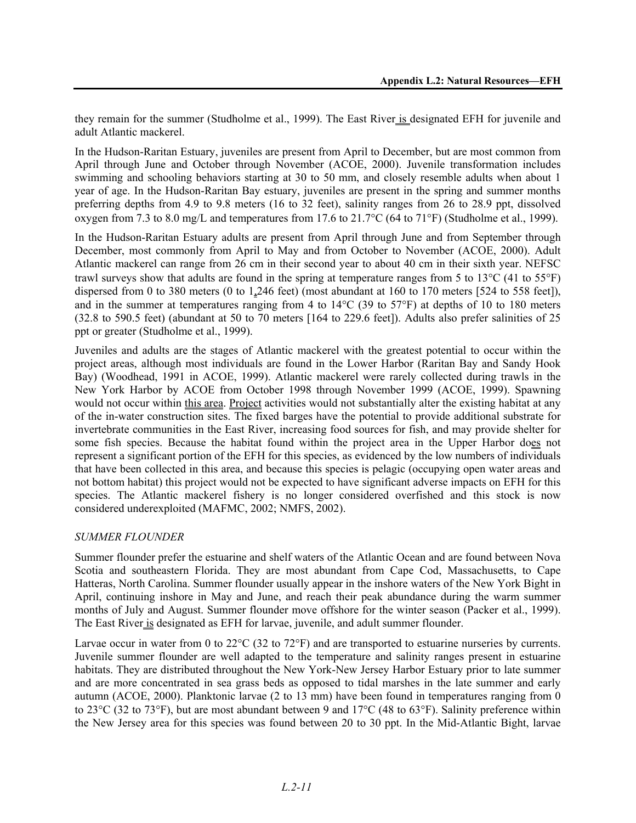they remain for the summer (Studholme et al., 1999). The East River is designated EFH for juvenile and adult Atlantic mackerel.

In the Hudson-Raritan Estuary, juveniles are present from April to December, but are most common from April through June and October through November (ACOE, 2000). Juvenile transformation includes swimming and schooling behaviors starting at 30 to 50 mm, and closely resemble adults when about 1 year of age. In the Hudson-Raritan Bay estuary, juveniles are present in the spring and summer months preferring depths from 4.9 to 9.8 meters (16 to 32 feet), salinity ranges from 26 to 28.9 ppt, dissolved oxygen from 7.3 to 8.0 mg/L and temperatures from 17.6 to 21.7°C (64 to 71°F) (Studholme et al., 1999).

In the Hudson-Raritan Estuary adults are present from April through June and from September through December, most commonly from April to May and from October to November (ACOE, 2000). Adult Atlantic mackerel can range from 26 cm in their second year to about 40 cm in their sixth year. NEFSC trawl surveys show that adults are found in the spring at temperature ranges from 5 to 13°C (41 to 55°F) dispersed from 0 to 380 meters (0 to 1,246 feet) (most abundant at 160 to 170 meters [524 to 558 feet]), and in the summer at temperatures ranging from 4 to 14°C (39 to 57°F) at depths of 10 to 180 meters (32.8 to 590.5 feet) (abundant at 50 to 70 meters [164 to 229.6 feet]). Adults also prefer salinities of 25 ppt or greater (Studholme et al., 1999).

Juveniles and adults are the stages of Atlantic mackerel with the greatest potential to occur within the project areas, although most individuals are found in the Lower Harbor (Raritan Bay and Sandy Hook Bay) (Woodhead, 1991 in ACOE, 1999). Atlantic mackerel were rarely collected during trawls in the New York Harbor by ACOE from October 1998 through November 1999 (ACOE, 1999). Spawning would not occur within this area. Project activities would not substantially alter the existing habitat at any of the in-water construction sites. The fixed barges have the potential to provide additional substrate for invertebrate communities in the East River, increasing food sources for fish, and may provide shelter for some fish species. Because the habitat found within the project area in the Upper Harbor does not represent a significant portion of the EFH for this species, as evidenced by the low numbers of individuals that have been collected in this area, and because this species is pelagic (occupying open water areas and not bottom habitat) this project would not be expected to have significant adverse impacts on EFH for this species. The Atlantic mackerel fishery is no longer considered overfished and this stock is now considered underexploited (MAFMC, 2002; NMFS, 2002).

#### *SUMMER FLOUNDER*

Summer flounder prefer the estuarine and shelf waters of the Atlantic Ocean and are found between Nova Scotia and southeastern Florida. They are most abundant from Cape Cod, Massachusetts, to Cape Hatteras, North Carolina. Summer flounder usually appear in the inshore waters of the New York Bight in April, continuing inshore in May and June, and reach their peak abundance during the warm summer months of July and August. Summer flounder move offshore for the winter season (Packer et al., 1999). The East River is designated as EFH for larvae, juvenile, and adult summer flounder.

Larvae occur in water from 0 to 22<sup>o</sup>C (32 to 72<sup>o</sup>F) and are transported to estuarine nurseries by currents. Juvenile summer flounder are well adapted to the temperature and salinity ranges present in estuarine habitats. They are distributed throughout the New York-New Jersey Harbor Estuary prior to late summer and are more concentrated in sea grass beds as opposed to tidal marshes in the late summer and early autumn (ACOE, 2000). Planktonic larvae (2 to 13 mm) have been found in temperatures ranging from 0 to 23°C (32 to 73°F), but are most abundant between 9 and 17°C (48 to 63°F). Salinity preference within the New Jersey area for this species was found between 20 to 30 ppt. In the Mid-Atlantic Bight, larvae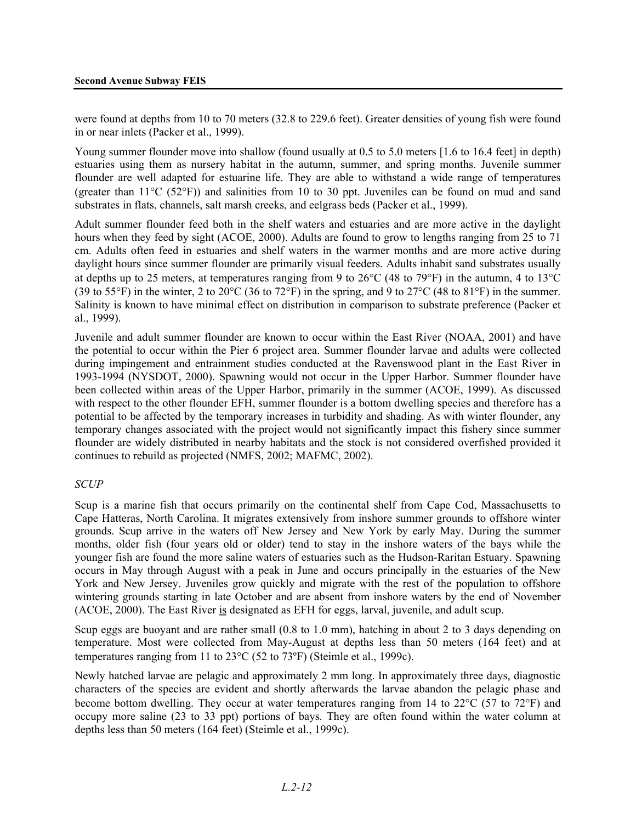were found at depths from 10 to 70 meters (32.8 to 229.6 feet). Greater densities of young fish were found in or near inlets (Packer et al., 1999).

Young summer flounder move into shallow (found usually at 0.5 to 5.0 meters [1.6 to 16.4 feet] in depth) estuaries using them as nursery habitat in the autumn, summer, and spring months. Juvenile summer flounder are well adapted for estuarine life. They are able to withstand a wide range of temperatures (greater than 11 $^{\circ}$ C (52 $^{\circ}$ F)) and salinities from 10 to 30 ppt. Juveniles can be found on mud and sand substrates in flats, channels, salt marsh creeks, and eelgrass beds (Packer et al., 1999).

Adult summer flounder feed both in the shelf waters and estuaries and are more active in the daylight hours when they feed by sight (ACOE, 2000). Adults are found to grow to lengths ranging from 25 to 71 cm. Adults often feed in estuaries and shelf waters in the warmer months and are more active during daylight hours since summer flounder are primarily visual feeders. Adults inhabit sand substrates usually at depths up to 25 meters, at temperatures ranging from 9 to 26°C (48 to 79°F) in the autumn, 4 to 13°C (39 to 55°F) in the winter, 2 to 20°C (36 to 72°F) in the spring, and 9 to 27°C (48 to 81°F) in the summer. Salinity is known to have minimal effect on distribution in comparison to substrate preference (Packer et al., 1999).

Juvenile and adult summer flounder are known to occur within the East River (NOAA, 2001) and have the potential to occur within the Pier 6 project area. Summer flounder larvae and adults were collected during impingement and entrainment studies conducted at the Ravenswood plant in the East River in 1993-1994 (NYSDOT, 2000). Spawning would not occur in the Upper Harbor. Summer flounder have been collected within areas of the Upper Harbor, primarily in the summer (ACOE, 1999). As discussed with respect to the other flounder EFH, summer flounder is a bottom dwelling species and therefore has a potential to be affected by the temporary increases in turbidity and shading. As with winter flounder, any temporary changes associated with the project would not significantly impact this fishery since summer flounder are widely distributed in nearby habitats and the stock is not considered overfished provided it continues to rebuild as projected (NMFS, 2002; MAFMC, 2002).

#### *SCUP*

Scup is a marine fish that occurs primarily on the continental shelf from Cape Cod, Massachusetts to Cape Hatteras, North Carolina. It migrates extensively from inshore summer grounds to offshore winter grounds. Scup arrive in the waters off New Jersey and New York by early May. During the summer months, older fish (four years old or older) tend to stay in the inshore waters of the bays while the younger fish are found the more saline waters of estuaries such as the Hudson-Raritan Estuary. Spawning occurs in May through August with a peak in June and occurs principally in the estuaries of the New York and New Jersey. Juveniles grow quickly and migrate with the rest of the population to offshore wintering grounds starting in late October and are absent from inshore waters by the end of November (ACOE, 2000). The East River is designated as EFH for eggs, larval, juvenile, and adult scup.

Scup eggs are buoyant and are rather small (0.8 to 1.0 mm), hatching in about 2 to 3 days depending on temperature. Most were collected from May-August at depths less than 50 meters (164 feet) and at temperatures ranging from 11 to 23°C (52 to 73ºF) (Steimle et al., 1999c).

Newly hatched larvae are pelagic and approximately 2 mm long. In approximately three days, diagnostic characters of the species are evident and shortly afterwards the larvae abandon the pelagic phase and become bottom dwelling. They occur at water temperatures ranging from 14 to 22°C (57 to 72°F) and occupy more saline (23 to 33 ppt) portions of bays. They are often found within the water column at depths less than 50 meters (164 feet) (Steimle et al., 1999c).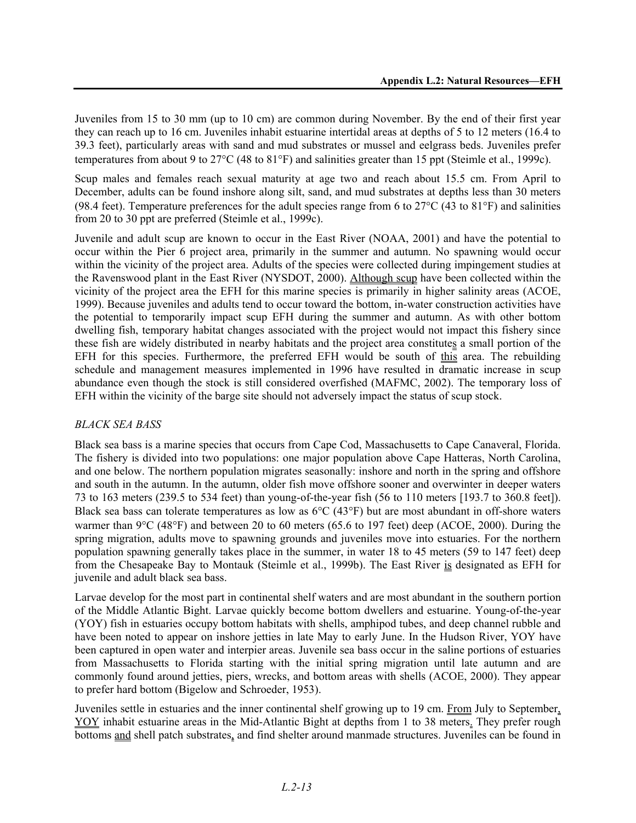Juveniles from 15 to 30 mm (up to 10 cm) are common during November. By the end of their first year they can reach up to 16 cm. Juveniles inhabit estuarine intertidal areas at depths of 5 to 12 meters (16.4 to 39.3 feet), particularly areas with sand and mud substrates or mussel and eelgrass beds. Juveniles prefer temperatures from about 9 to 27°C (48 to 81°F) and salinities greater than 15 ppt (Steimle et al., 1999c).

Scup males and females reach sexual maturity at age two and reach about 15.5 cm. From April to December, adults can be found inshore along silt, sand, and mud substrates at depths less than 30 meters (98.4 feet). Temperature preferences for the adult species range from 6 to  $27^{\circ}$ C (43 to 81°F) and salinities from 20 to 30 ppt are preferred (Steimle et al., 1999c).

Juvenile and adult scup are known to occur in the East River (NOAA, 2001) and have the potential to occur within the Pier 6 project area, primarily in the summer and autumn. No spawning would occur within the vicinity of the project area. Adults of the species were collected during impingement studies at the Ravenswood plant in the East River (NYSDOT, 2000). Although scup have been collected within the vicinity of the project area the EFH for this marine species is primarily in higher salinity areas (ACOE, 1999). Because juveniles and adults tend to occur toward the bottom, in-water construction activities have the potential to temporarily impact scup EFH during the summer and autumn. As with other bottom dwelling fish, temporary habitat changes associated with the project would not impact this fishery since these fish are widely distributed in nearby habitats and the project area constitutes a small portion of the EFH for this species. Furthermore, the preferred EFH would be south of this area. The rebuilding schedule and management measures implemented in 1996 have resulted in dramatic increase in scup abundance even though the stock is still considered overfished (MAFMC, 2002). The temporary loss of EFH within the vicinity of the barge site should not adversely impact the status of scup stock.

#### *BLACK SEA BASS*

Black sea bass is a marine species that occurs from Cape Cod, Massachusetts to Cape Canaveral, Florida. The fishery is divided into two populations: one major population above Cape Hatteras, North Carolina, and one below. The northern population migrates seasonally: inshore and north in the spring and offshore and south in the autumn. In the autumn, older fish move offshore sooner and overwinter in deeper waters 73 to 163 meters (239.5 to 534 feet) than young-of-the-year fish (56 to 110 meters [193.7 to 360.8 feet]). Black sea bass can tolerate temperatures as low as 6°C (43°F) but are most abundant in off-shore waters warmer than 9°C (48°F) and between 20 to 60 meters (65.6 to 197 feet) deep (ACOE, 2000). During the spring migration, adults move to spawning grounds and juveniles move into estuaries. For the northern population spawning generally takes place in the summer, in water 18 to 45 meters (59 to 147 feet) deep from the Chesapeake Bay to Montauk (Steimle et al., 1999b). The East River is designated as EFH for juvenile and adult black sea bass.

Larvae develop for the most part in continental shelf waters and are most abundant in the southern portion of the Middle Atlantic Bight. Larvae quickly become bottom dwellers and estuarine. Young-of-the-year (YOY) fish in estuaries occupy bottom habitats with shells, amphipod tubes, and deep channel rubble and have been noted to appear on inshore jetties in late May to early June. In the Hudson River, YOY have been captured in open water and interpier areas. Juvenile sea bass occur in the saline portions of estuaries from Massachusetts to Florida starting with the initial spring migration until late autumn and are commonly found around jetties, piers, wrecks, and bottom areas with shells (ACOE, 2000). They appear to prefer hard bottom (Bigelow and Schroeder, 1953).

Juveniles settle in estuaries and the inner continental shelf growing up to 19 cm. From July to September, YOY inhabit estuarine areas in the Mid-Atlantic Bight at depths from 1 to 38 meters. They prefer rough bottoms and shell patch substrates, and find shelter around manmade structures. Juveniles can be found in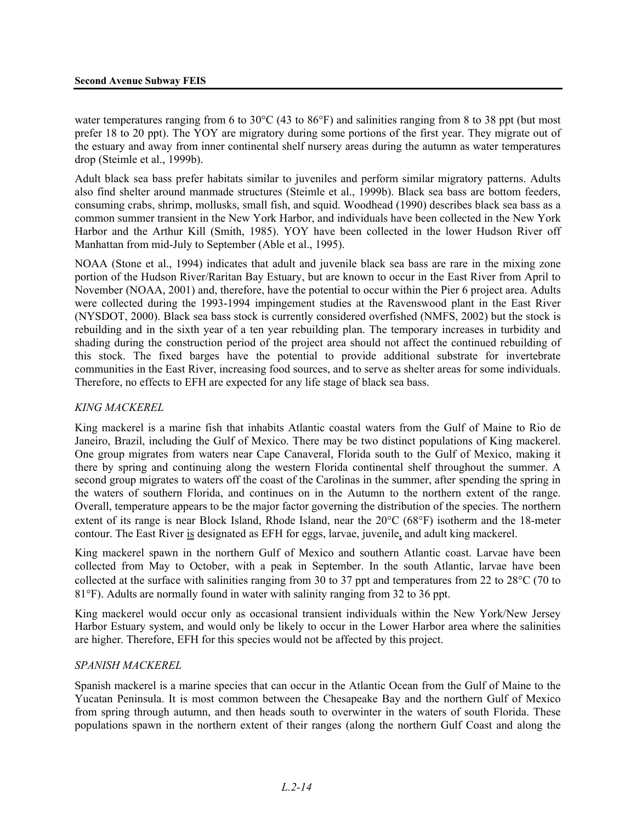water temperatures ranging from 6 to 30°C (43 to 86°F) and salinities ranging from 8 to 38 ppt (but most prefer 18 to 20 ppt). The YOY are migratory during some portions of the first year. They migrate out of the estuary and away from inner continental shelf nursery areas during the autumn as water temperatures drop (Steimle et al., 1999b).

Adult black sea bass prefer habitats similar to juveniles and perform similar migratory patterns. Adults also find shelter around manmade structures (Steimle et al., 1999b). Black sea bass are bottom feeders, consuming crabs, shrimp, mollusks, small fish, and squid. Woodhead (1990) describes black sea bass as a common summer transient in the New York Harbor, and individuals have been collected in the New York Harbor and the Arthur Kill (Smith, 1985). YOY have been collected in the lower Hudson River off Manhattan from mid-July to September (Able et al., 1995).

NOAA (Stone et al., 1994) indicates that adult and juvenile black sea bass are rare in the mixing zone portion of the Hudson River/Raritan Bay Estuary, but are known to occur in the East River from April to November (NOAA, 2001) and, therefore, have the potential to occur within the Pier 6 project area. Adults were collected during the 1993-1994 impingement studies at the Ravenswood plant in the East River (NYSDOT, 2000). Black sea bass stock is currently considered overfished (NMFS, 2002) but the stock is rebuilding and in the sixth year of a ten year rebuilding plan. The temporary increases in turbidity and shading during the construction period of the project area should not affect the continued rebuilding of this stock. The fixed barges have the potential to provide additional substrate for invertebrate communities in the East River, increasing food sources, and to serve as shelter areas for some individuals. Therefore, no effects to EFH are expected for any life stage of black sea bass.

#### *KING MACKEREL*

King mackerel is a marine fish that inhabits Atlantic coastal waters from the Gulf of Maine to Rio de Janeiro, Brazil, including the Gulf of Mexico. There may be two distinct populations of King mackerel. One group migrates from waters near Cape Canaveral, Florida south to the Gulf of Mexico, making it there by spring and continuing along the western Florida continental shelf throughout the summer. A second group migrates to waters off the coast of the Carolinas in the summer, after spending the spring in the waters of southern Florida, and continues on in the Autumn to the northern extent of the range. Overall, temperature appears to be the major factor governing the distribution of the species. The northern extent of its range is near Block Island, Rhode Island, near the 20°C (68°F) isotherm and the 18-meter contour. The East River is designated as EFH for eggs, larvae, juvenile, and adult king mackerel.

King mackerel spawn in the northern Gulf of Mexico and southern Atlantic coast. Larvae have been collected from May to October, with a peak in September. In the south Atlantic, larvae have been collected at the surface with salinities ranging from 30 to 37 ppt and temperatures from 22 to 28°C (70 to 81°F). Adults are normally found in water with salinity ranging from 32 to 36 ppt.

King mackerel would occur only as occasional transient individuals within the New York/New Jersey Harbor Estuary system, and would only be likely to occur in the Lower Harbor area where the salinities are higher. Therefore, EFH for this species would not be affected by this project.

#### *SPANISH MACKEREL*

Spanish mackerel is a marine species that can occur in the Atlantic Ocean from the Gulf of Maine to the Yucatan Peninsula. It is most common between the Chesapeake Bay and the northern Gulf of Mexico from spring through autumn, and then heads south to overwinter in the waters of south Florida. These populations spawn in the northern extent of their ranges (along the northern Gulf Coast and along the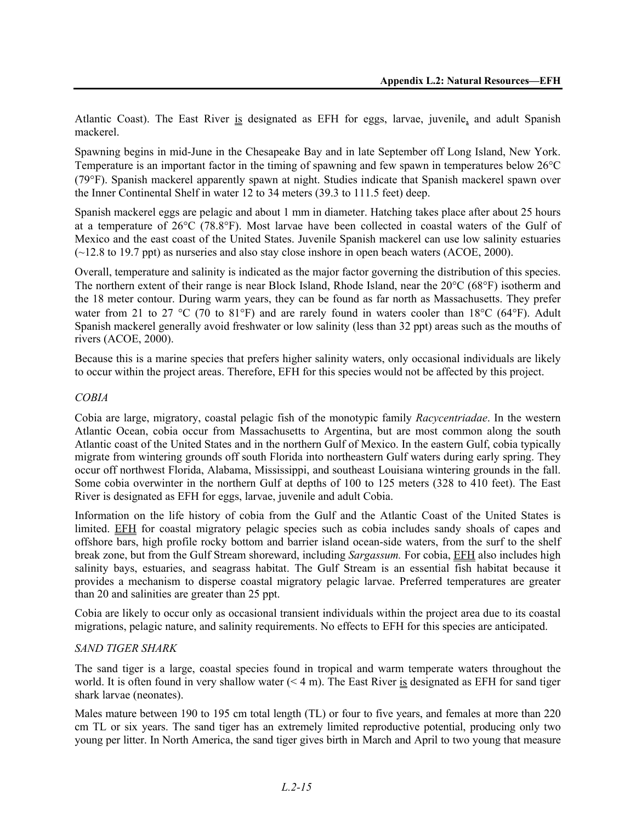Atlantic Coast). The East River is designated as EFH for eggs, larvae, juvenile, and adult Spanish mackerel.

Spawning begins in mid-June in the Chesapeake Bay and in late September off Long Island, New York. Temperature is an important factor in the timing of spawning and few spawn in temperatures below 26°C (79°F). Spanish mackerel apparently spawn at night. Studies indicate that Spanish mackerel spawn over the Inner Continental Shelf in water 12 to 34 meters (39.3 to 111.5 feet) deep.

Spanish mackerel eggs are pelagic and about 1 mm in diameter. Hatching takes place after about 25 hours at a temperature of 26°C (78.8°F). Most larvae have been collected in coastal waters of the Gulf of Mexico and the east coast of the United States. Juvenile Spanish mackerel can use low salinity estuaries (~12.8 to 19.7 ppt) as nurseries and also stay close inshore in open beach waters (ACOE, 2000).

Overall, temperature and salinity is indicated as the major factor governing the distribution of this species. The northern extent of their range is near Block Island, Rhode Island, near the 20°C (68°F) isotherm and the 18 meter contour. During warm years, they can be found as far north as Massachusetts. They prefer water from 21 to 27 °C (70 to 81°F) and are rarely found in waters cooler than 18°C (64°F). Adult Spanish mackerel generally avoid freshwater or low salinity (less than 32 ppt) areas such as the mouths of rivers (ACOE, 2000).

Because this is a marine species that prefers higher salinity waters, only occasional individuals are likely to occur within the project areas. Therefore, EFH for this species would not be affected by this project.

#### *COBIA*

Cobia are large, migratory, coastal pelagic fish of the monotypic family *Racycentriadae*. In the western Atlantic Ocean, cobia occur from Massachusetts to Argentina, but are most common along the south Atlantic coast of the United States and in the northern Gulf of Mexico. In the eastern Gulf, cobia typically migrate from wintering grounds off south Florida into northeastern Gulf waters during early spring. They occur off northwest Florida, Alabama, Mississippi, and southeast Louisiana wintering grounds in the fall. Some cobia overwinter in the northern Gulf at depths of 100 to 125 meters (328 to 410 feet). The East River is designated as EFH for eggs, larvae, juvenile and adult Cobia.

Information on the life history of cobia from the Gulf and the Atlantic Coast of the United States is limited. EFH for coastal migratory pelagic species such as cobia includes sandy shoals of capes and offshore bars, high profile rocky bottom and barrier island ocean-side waters, from the surf to the shelf break zone, but from the Gulf Stream shoreward, including *Sargassum.* For cobia, EFH also includes high salinity bays, estuaries, and seagrass habitat. The Gulf Stream is an essential fish habitat because it provides a mechanism to disperse coastal migratory pelagic larvae. Preferred temperatures are greater than 20 and salinities are greater than 25 ppt.

Cobia are likely to occur only as occasional transient individuals within the project area due to its coastal migrations, pelagic nature, and salinity requirements. No effects to EFH for this species are anticipated.

#### *SAND TIGER SHARK*

The sand tiger is a large, coastal species found in tropical and warm temperate waters throughout the world. It is often found in very shallow water  $(< 4 \text{ m})$ . The East River is designated as EFH for sand tiger shark larvae (neonates).

Males mature between 190 to 195 cm total length (TL) or four to five years, and females at more than 220 cm TL or six years. The sand tiger has an extremely limited reproductive potential, producing only two young per litter. In North America, the sand tiger gives birth in March and April to two young that measure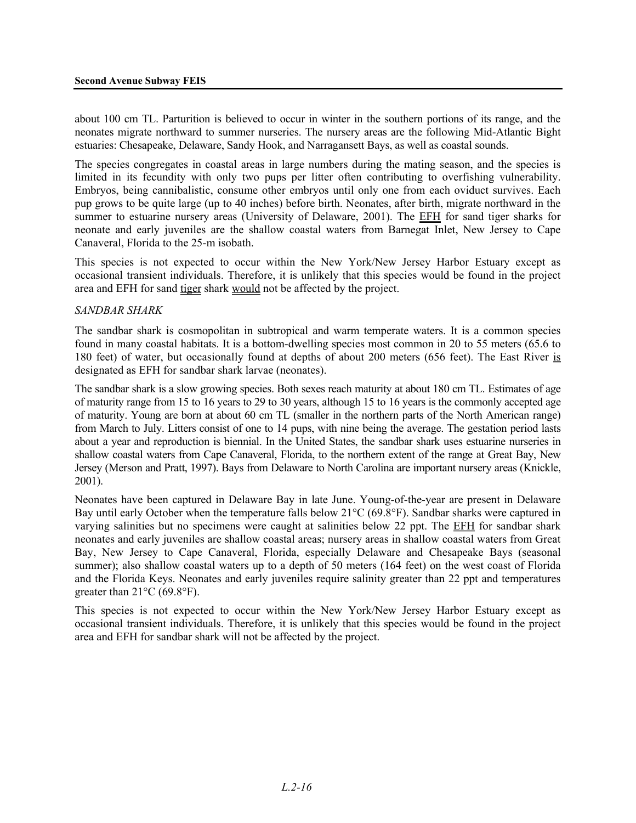about 100 cm TL. Parturition is believed to occur in winter in the southern portions of its range, and the neonates migrate northward to summer nurseries. The nursery areas are the following Mid-Atlantic Bight estuaries: Chesapeake, Delaware, Sandy Hook, and Narragansett Bays, as well as coastal sounds.

The species congregates in coastal areas in large numbers during the mating season, and the species is limited in its fecundity with only two pups per litter often contributing to overfishing vulnerability. Embryos, being cannibalistic, consume other embryos until only one from each oviduct survives. Each pup grows to be quite large (up to 40 inches) before birth. Neonates, after birth, migrate northward in the summer to estuarine nursery areas (University of Delaware, 2001). The EFH for sand tiger sharks for neonate and early juveniles are the shallow coastal waters from Barnegat Inlet, New Jersey to Cape Canaveral, Florida to the 25-m isobath.

This species is not expected to occur within the New York/New Jersey Harbor Estuary except as occasional transient individuals. Therefore, it is unlikely that this species would be found in the project area and EFH for sand tiger shark would not be affected by the project.

#### *SANDBAR SHARK*

The sandbar shark is cosmopolitan in subtropical and warm temperate waters. It is a common species found in many coastal habitats. It is a bottom-dwelling species most common in 20 to 55 meters (65.6 to 180 feet) of water, but occasionally found at depths of about 200 meters (656 feet). The East River is designated as EFH for sandbar shark larvae (neonates).

The sandbar shark is a slow growing species. Both sexes reach maturity at about 180 cm TL. Estimates of age of maturity range from 15 to 16 years to 29 to 30 years, although 15 to 16 years is the commonly accepted age of maturity. Young are born at about 60 cm TL (smaller in the northern parts of the North American range) from March to July. Litters consist of one to 14 pups, with nine being the average. The gestation period lasts about a year and reproduction is biennial. In the United States, the sandbar shark uses estuarine nurseries in shallow coastal waters from Cape Canaveral, Florida, to the northern extent of the range at Great Bay, New Jersey (Merson and Pratt, 1997). Bays from Delaware to North Carolina are important nursery areas (Knickle, 2001).

Neonates have been captured in Delaware Bay in late June. Young-of-the-year are present in Delaware Bay until early October when the temperature falls below 21°C (69.8°F). Sandbar sharks were captured in varying salinities but no specimens were caught at salinities below 22 ppt. The EFH for sandbar shark neonates and early juveniles are shallow coastal areas; nursery areas in shallow coastal waters from Great Bay, New Jersey to Cape Canaveral, Florida, especially Delaware and Chesapeake Bays (seasonal summer); also shallow coastal waters up to a depth of 50 meters (164 feet) on the west coast of Florida and the Florida Keys. Neonates and early juveniles require salinity greater than 22 ppt and temperatures greater than  $21^{\circ}$ C (69.8°F).

This species is not expected to occur within the New York/New Jersey Harbor Estuary except as occasional transient individuals. Therefore, it is unlikely that this species would be found in the project area and EFH for sandbar shark will not be affected by the project.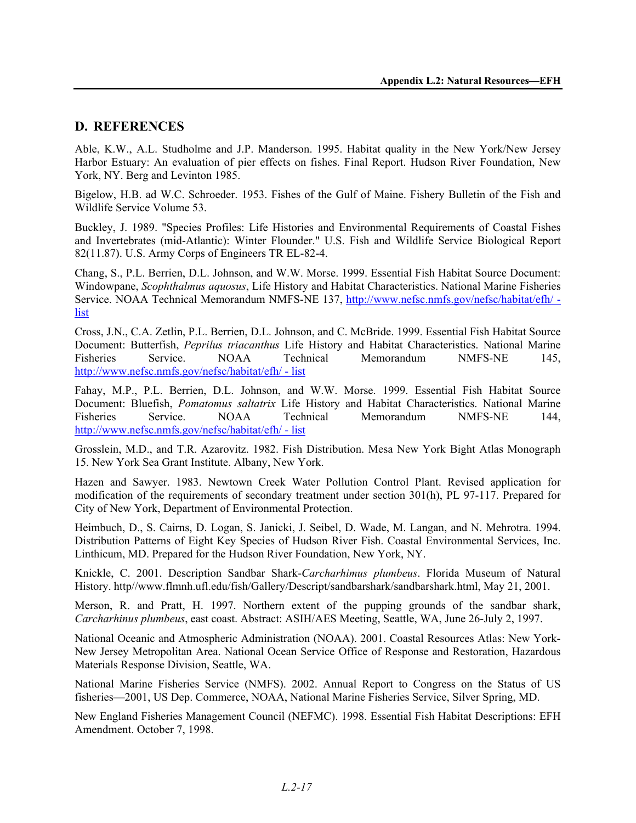#### **D. REFERENCES**

Able, K.W., A.L. Studholme and J.P. Manderson. 1995. Habitat quality in the New York/New Jersey Harbor Estuary: An evaluation of pier effects on fishes. Final Report. Hudson River Foundation, New York, NY. Berg and Levinton 1985.

Bigelow, H.B. ad W.C. Schroeder. 1953. Fishes of the Gulf of Maine. Fishery Bulletin of the Fish and Wildlife Service Volume 53.

Buckley, J. 1989. "Species Profiles: Life Histories and Environmental Requirements of Coastal Fishes and Invertebrates (mid-Atlantic): Winter Flounder." U.S. Fish and Wildlife Service Biological Report 82(11.87). U.S. Army Corps of Engineers TR EL-82-4.

Chang, S., P.L. Berrien, D.L. Johnson, and W.W. Morse. 1999. Essential Fish Habitat Source Document: Windowpane, *Scophthalmus aquosus*, Life History and Habitat Characteristics. National Marine Fisheries Service. NOAA Technical Memorandum NMFS-NE 137, http://www.nefsc.nmfs.gov/nefsc/habitat/efh/ list

Cross, J.N., C.A. Zetlin, P.L. Berrien, D.L. Johnson, and C. McBride. 1999. Essential Fish Habitat Source Document: Butterfish, *Peprilus triacanthus* Life History and Habitat Characteristics. National Marine Fisheries Service. NOAA Technical Memorandum NMFS-NE 145, http://www.nefsc.nmfs.gov/nefsc/habitat/efh/ - list

Fahay, M.P., P.L. Berrien, D.L. Johnson, and W.W. Morse. 1999. Essential Fish Habitat Source Document: Bluefish, *Pomatomus saltatrix* Life History and Habitat Characteristics. National Marine Fisheries Service. NOAA Technical Memorandum NMFS-NE 144, http://www.nefsc.nmfs.gov/nefsc/habitat/efh/ - list

Grosslein, M.D., and T.R. Azarovitz. 1982. Fish Distribution. Mesa New York Bight Atlas Monograph 15. New York Sea Grant Institute. Albany, New York.

Hazen and Sawyer. 1983. Newtown Creek Water Pollution Control Plant. Revised application for modification of the requirements of secondary treatment under section 301(h), PL 97-117. Prepared for City of New York, Department of Environmental Protection.

Heimbuch, D., S. Cairns, D. Logan, S. Janicki, J. Seibel, D. Wade, M. Langan, and N. Mehrotra. 1994. Distribution Patterns of Eight Key Species of Hudson River Fish. Coastal Environmental Services, Inc. Linthicum, MD. Prepared for the Hudson River Foundation, New York, NY.

Knickle, C. 2001. Description Sandbar Shark-*Carcharhimus plumbeus*. Florida Museum of Natural History. http//www.flmnh.ufl.edu/fish/Gallery/Descript/sandbarshark/sandbarshark.html, May 21, 2001.

Merson, R. and Pratt, H. 1997. Northern extent of the pupping grounds of the sandbar shark, *Carcharhinus plumbeus*, east coast. Abstract: ASIH/AES Meeting, Seattle, WA, June 26-July 2, 1997.

National Oceanic and Atmospheric Administration (NOAA). 2001. Coastal Resources Atlas: New York-New Jersey Metropolitan Area. National Ocean Service Office of Response and Restoration, Hazardous Materials Response Division, Seattle, WA.

National Marine Fisheries Service (NMFS). 2002. Annual Report to Congress on the Status of US fisheries—2001, US Dep. Commerce, NOAA, National Marine Fisheries Service, Silver Spring, MD.

New England Fisheries Management Council (NEFMC). 1998. Essential Fish Habitat Descriptions: EFH Amendment. October 7, 1998.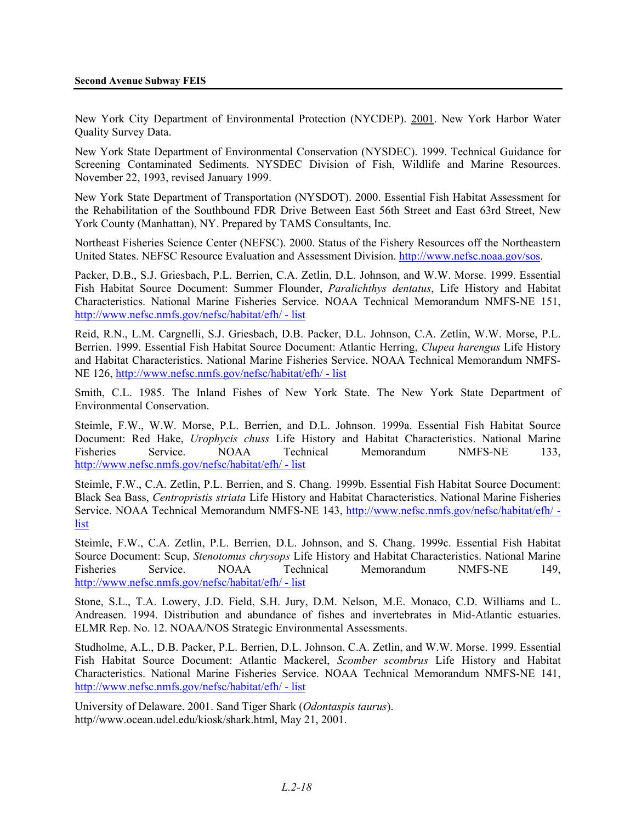New York City Department of Environmental Protection (NYCDEP). 2001. New York Harbor Water Quality Survey Data.

New York State Department of Environmental Conservation (NYSDEC). 1999. Technical Guidance for Screening Contaminated Sediments. NYSDEC Division of Fish, Wildlife and Marine Resources. November 22, 1993, revised January 1999.

New York State Department of Transportation (NYSDOT). 2000. Essential Fish Habitat Assessment for the Rehabilitation of the Southbound FDR Drive Between East 56th Street and East 63rd Street, New York County (Manhattan), NY. Prepared by TAMS Consultants, Inc.

Northeast Fisheries Science Center (NEFSC). 2000. Status of the Fishery Resources off the Northeastern United States. NEFSC Resource Evaluation and Assessment Division. http://www.nefsc.noaa.gov/sos.

Packer, D.B., S.J. Griesbach, P.L. Berrien, C.A. Zetlin, D.L. Johnson, and W.W. Morse. 1999. Essential Fish Habitat Source Document: Summer Flounder, *Paralichthys dentatus*, Life History and Habitat Characteristics. National Marine Fisheries Service. NOAA Technical Memorandum NMFS-NE 151, http://www.nefsc.nmfs.gov/nefsc/habitat/efh/ - list

Reid, R.N., L.M. Cargnelli, S.J. Griesbach, D.B. Packer, D.L. Johnson, C.A. Zetlin, W.W. Morse, P.L. Berrien. 1999. Essential Fish Habitat Source Document: Atlantic Herring, *Clupea harengus* Life History and Habitat Characteristics. National Marine Fisheries Service. NOAA Technical Memorandum NMFS-NE 126, http://www.nefsc.nmfs.gov/nefsc/habitat/efh/ - list

Smith, C.L. 1985. The Inland Fishes of New York State. The New York State Department of Environmental Conservation.

Steimle, F.W., W.W. Morse, P.L. Berrien, and D.L. Johnson. 1999a. Essential Fish Habitat Source Document: Red Hake, *Urophycis chuss* Life History and Habitat Characteristics. National Marine Fisheries Service. NOAA Technical Memorandum NMFS-NE 133, http://www.nefsc.nmfs.gov/nefsc/habitat/efh/ - list

Steimle, F.W., C.A. Zetlin, P.L. Berrien, and S. Chang. 1999b. Essential Fish Habitat Source Document: Black Sea Bass, *Centropristis striata* Life History and Habitat Characteristics. National Marine Fisheries Service. NOAA Technical Memorandum NMFS-NE 143, http://www.nefsc.nmfs.gov/nefsc/habitat/efh/ list

Steimle, F.W., C.A. Zetlin, P.L. Berrien, D.L. Johnson, and S. Chang. 1999c. Essential Fish Habitat Source Document: Scup, *Stenotomus chrysops* Life History and Habitat Characteristics. National Marine Fisheries Service. NOAA Technical Memorandum NMFS-NE 149, http://www.nefsc.nmfs.gov/nefsc/habitat/efh/ - list

Stone, S.L., T.A. Lowery, J.D. Field, S.H. Jury, D.M. Nelson, M.E. Monaco, C.D. Williams and L. Andreasen. 1994. Distribution and abundance of fishes and invertebrates in Mid-Atlantic estuaries. ELMR Rep. No. 12. NOAA/NOS Strategic Environmental Assessments.

Studholme, A.L., D.B. Packer, P.L. Berrien, D.L. Johnson, C.A. Zetlin, and W.W. Morse. 1999. Essential Fish Habitat Source Document: Atlantic Mackerel, *Scomber scombrus* Life History and Habitat Characteristics. National Marine Fisheries Service. NOAA Technical Memorandum NMFS-NE 141, http://www.nefsc.nmfs.gov/nefsc/habitat/efh/ - list

University of Delaware. 2001. Sand Tiger Shark (*Odontaspis taurus*). http//www.ocean.udel.edu/kiosk/shark.html, May 21, 2001.